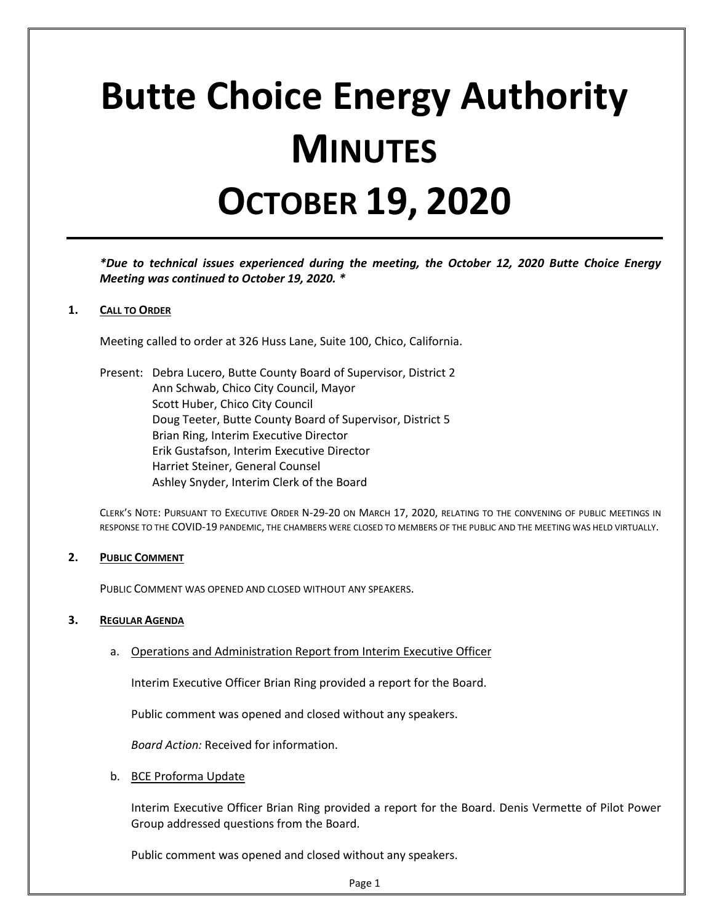# **Butte Choice Energy Authority MINUTES OCTOBER 19, 2020**

*\*Due to technical issues experienced during the meeting, the October 12, 2020 Butte Choice Energy Meeting was continued to October 19, 2020. \**

## **1. CALL TO ORDER**

Meeting called to order at 326 Huss Lane, Suite 100, Chico, California.

Present: Debra Lucero, Butte County Board of Supervisor, District 2 Ann Schwab, Chico City Council, Mayor Scott Huber, Chico City Council Doug Teeter, Butte County Board of Supervisor, District 5 Brian Ring, Interim Executive Director Erik Gustafson, Interim Executive Director Harriet Steiner, General Counsel Ashley Snyder, Interim Clerk of the Board

CLERK'S NOTE: PURSUANT TO EXECUTIVE ORDER N-29-20 ON MARCH 17, 2020, RELATING TO THE CONVENING OF PUBLIC MEETINGS IN RESPONSE TO THE COVID-19 PANDEMIC, THE CHAMBERS WERE CLOSED TO MEMBERS OF THE PUBLIC AND THE MEETING WAS HELD VIRTUALLY.

### **2. PUBLIC COMMENT**

PUBLIC COMMENT WAS OPENED AND CLOSED WITHOUT ANY SPEAKERS.

### **3. REGULAR AGENDA**

a. Operations and Administration Report from Interim Executive Officer

Interim Executive Officer Brian Ring provided a report for the Board.

Public comment was opened and closed without any speakers.

*Board Action:* Received for information.

b. BCE Proforma Update

Interim Executive Officer Brian Ring provided a report for the Board. Denis Vermette of Pilot Power Group addressed questions from the Board.

Public comment was opened and closed without any speakers.